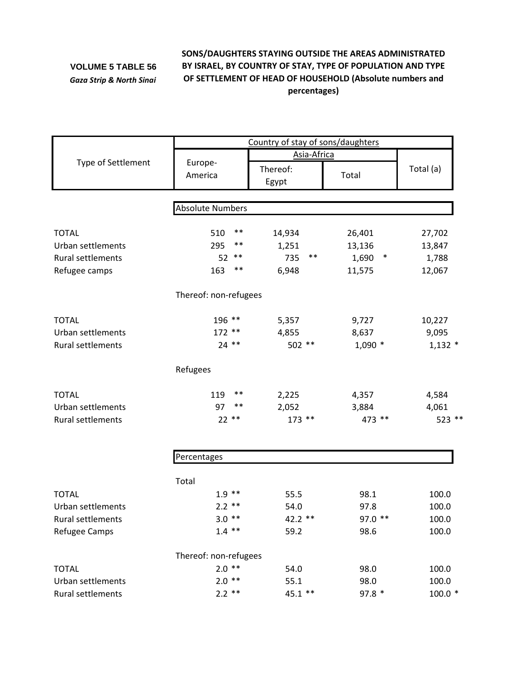## **VOLUME 5 TABLE 56** *Gaza Strip & North Sinai*

## **SONS/DAUGHTERS STAYING OUTSIDE THE AREAS ADMINISTRATED BY ISRAEL, BY COUNTRY OF STAY, TYPE OF POPULATION AND TYPE OF SETTLEMENT OF HEAD OF HOUSEHOLD (Absolute numbers and percentages)**

|                          | Country of stay of sons/daughters |                   |                 |           |  |
|--------------------------|-----------------------------------|-------------------|-----------------|-----------|--|
|                          |                                   | Asia-Africa       |                 |           |  |
| Type of Settlement       | Europe-<br>America                | Thereof:<br>Egypt | Total           | Total (a) |  |
|                          | <b>Absolute Numbers</b>           |                   |                 |           |  |
|                          |                                   |                   |                 |           |  |
| <b>TOTAL</b>             | $***$<br>510                      | 14,934            | 26,401          | 27,702    |  |
| Urban settlements        | 295<br>**                         | 1,251             | 13,136          | 13,847    |  |
| Rural settlements        | $***$<br>52                       | $***$<br>735      | 1,690<br>$\ast$ | 1,788     |  |
| Refugee camps            | 163<br>**                         | 6,948             | 11,575          | 12,067    |  |
|                          | Thereof: non-refugees             |                   |                 |           |  |
| <b>TOTAL</b>             | 196 **                            | 5,357             | 9,727           | 10,227    |  |
| Urban settlements        | $172**$                           | 4,855             | 8,637           | 9,095     |  |
| Rural settlements        | $24$ **                           | 502 **            | $1,090$ *       | $1,132$ * |  |
|                          | Refugees                          |                   |                 |           |  |
| <b>TOTAL</b>             | 119<br>**                         | 2,225             | 4,357           | 4,584     |  |
| <b>Urban settlements</b> | $\ast\ast$<br>97                  | 2,052             | 3,884           | 4,061     |  |
| Rural settlements        | $22**$                            | 173 **            | 473 **          | 523 **    |  |
|                          |                                   |                   |                 |           |  |
|                          | Percentages                       |                   |                 |           |  |
|                          | Total                             |                   |                 |           |  |
| <b>TOTAL</b>             | $1.9$ **                          | 55.5              | 98.1            | 100.0     |  |
| Urban settlements        | $2.2$ **                          | 54.0              | 97.8            | 100.0     |  |
| Rural settlements        | $3.0**$                           | 42.2 **           | 97.0 **         | 100.0     |  |
| Refugee Camps            | $1.4$ **                          | 59.2              | 98.6            | 100.0     |  |
|                          | Thereof: non-refugees             |                   |                 |           |  |
| <b>TOTAL</b>             | $2.0$ **                          | 54.0              | 98.0            | 100.0     |  |
| Urban settlements        | $2.0$ **                          | 55.1              | 98.0            | 100.0     |  |
| Rural settlements        | $2.2$ **                          | 45.1 **           | 97.8 *          | $100.0*$  |  |